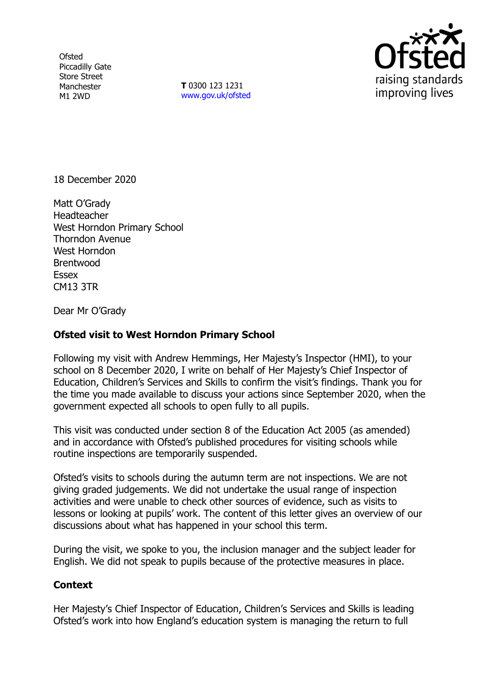**Ofsted** Piccadilly Gate Store Street Manchester M1 2WD

**T** 0300 123 1231 [www.gov.uk/ofsted](http://www.gov.uk/ofsted)



18 December 2020

Matt O'Grady **Headteacher** West Horndon Primary School Thorndon Avenue West Horndon Brentwood Essex CM13 3TR

Dear Mr O'Grady

## **Ofsted visit to West Horndon Primary School**

Following my visit with Andrew Hemmings, Her Majesty's Inspector (HMI), to your school on 8 December 2020, I write on behalf of Her Majesty's Chief Inspector of Education, Children's Services and Skills to confirm the visit's findings. Thank you for the time you made available to discuss your actions since September 2020, when the government expected all schools to open fully to all pupils.

This visit was conducted under section 8 of the Education Act 2005 (as amended) and in accordance with Ofsted's published procedures for visiting schools while routine inspections are temporarily suspended.

Ofsted's visits to schools during the autumn term are not inspections. We are not giving graded judgements. We did not undertake the usual range of inspection activities and were unable to check other sources of evidence, such as visits to lessons or looking at pupils' work. The content of this letter gives an overview of our discussions about what has happened in your school this term.

During the visit, we spoke to you, the inclusion manager and the subject leader for English. We did not speak to pupils because of the protective measures in place.

## **Context**

Her Majesty's Chief Inspector of Education, Children's Services and Skills is leading Ofsted's work into how England's education system is managing the return to full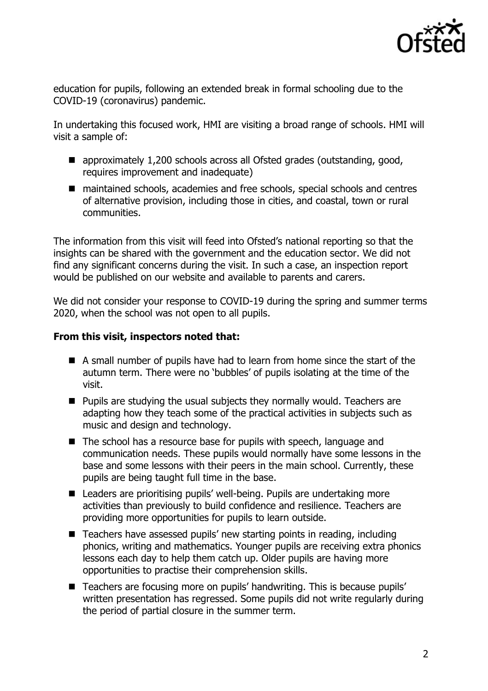

education for pupils, following an extended break in formal schooling due to the COVID-19 (coronavirus) pandemic.

In undertaking this focused work, HMI are visiting a broad range of schools. HMI will visit a sample of:

- approximately 1,200 schools across all Ofsted grades (outstanding, good, requires improvement and inadequate)
- maintained schools, academies and free schools, special schools and centres of alternative provision, including those in cities, and coastal, town or rural communities.

The information from this visit will feed into Ofsted's national reporting so that the insights can be shared with the government and the education sector. We did not find any significant concerns during the visit. In such a case, an inspection report would be published on our website and available to parents and carers.

We did not consider your response to COVID-19 during the spring and summer terms 2020, when the school was not open to all pupils.

## **From this visit, inspectors noted that:**

- A small number of pupils have had to learn from home since the start of the autumn term. There were no 'bubbles' of pupils isolating at the time of the visit.
- Pupils are studying the usual subjects they normally would. Teachers are adapting how they teach some of the practical activities in subjects such as music and design and technology.
- The school has a resource base for pupils with speech, language and communication needs. These pupils would normally have some lessons in the base and some lessons with their peers in the main school. Currently, these pupils are being taught full time in the base.
- Leaders are prioritising pupils' well-being. Pupils are undertaking more activities than previously to build confidence and resilience. Teachers are providing more opportunities for pupils to learn outside.
- Teachers have assessed pupils' new starting points in reading, including phonics, writing and mathematics. Younger pupils are receiving extra phonics lessons each day to help them catch up. Older pupils are having more opportunities to practise their comprehension skills.
- Teachers are focusing more on pupils' handwriting. This is because pupils' written presentation has regressed. Some pupils did not write regularly during the period of partial closure in the summer term.